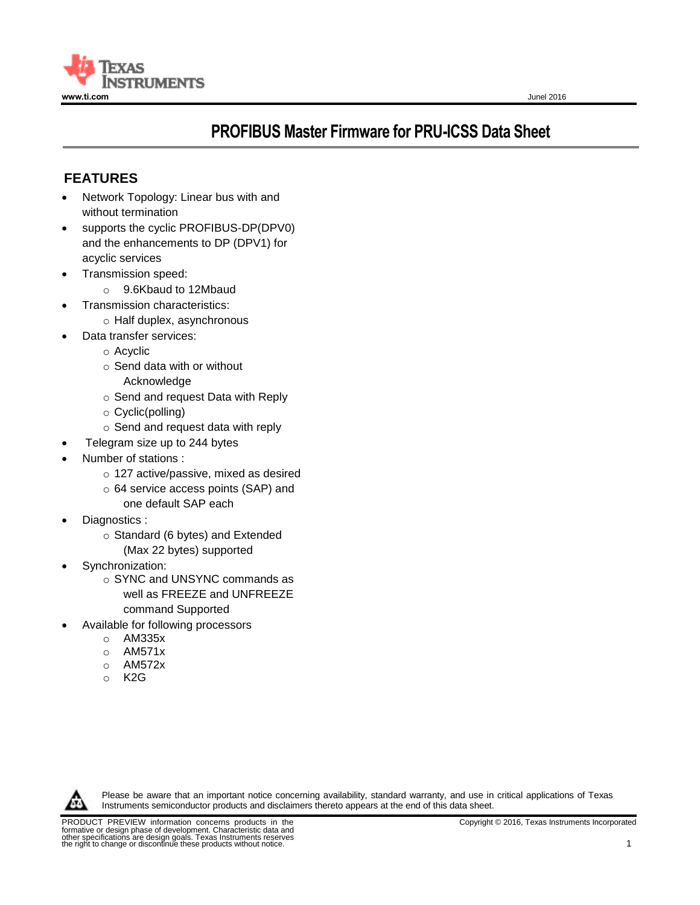

# **PROFIBUS Master Firmware for PRU-ICSS Data Sheet**

# **FEATURES**

- Network Topology: Linear bus with and without termination
- supports the cyclic PROFIBUS-DP(DPV0) and the enhancements to DP (DPV1) for acyclic services
- Transmission speed:
	- o 9.6Kbaud to 12Mbaud
- Transmission characteristics:
	- o Half duplex, asynchronous
	- Data transfer services:
		- o Acyclic
		- o Send data with or without
			- Acknowledge
		- o Send and request Data with Reply
		- o Cyclic(polling)
		- o Send and request data with reply
- Telegram size up to 244 bytes
- Number of stations :
	- o 127 active/passive, mixed as desired
	- o 64 service access points (SAP) and one default SAP each
	-
- Diagnostics :
	- o Standard (6 bytes) and Extended (Max 22 bytes) supported
- Synchronization:
	- o SYNC and UNSYNC commands as well as FREEZE and UNFREEZE command Supported
- Available for following processors
	- o AM335x
	- o AM571x
	- o AM572x
	- o K2G



Please be aware that an important notice concerning availability, standard warranty, and use in critical applications of Texas Instruments semiconductor products and disclaimers thereto appears at the end of this data sheet.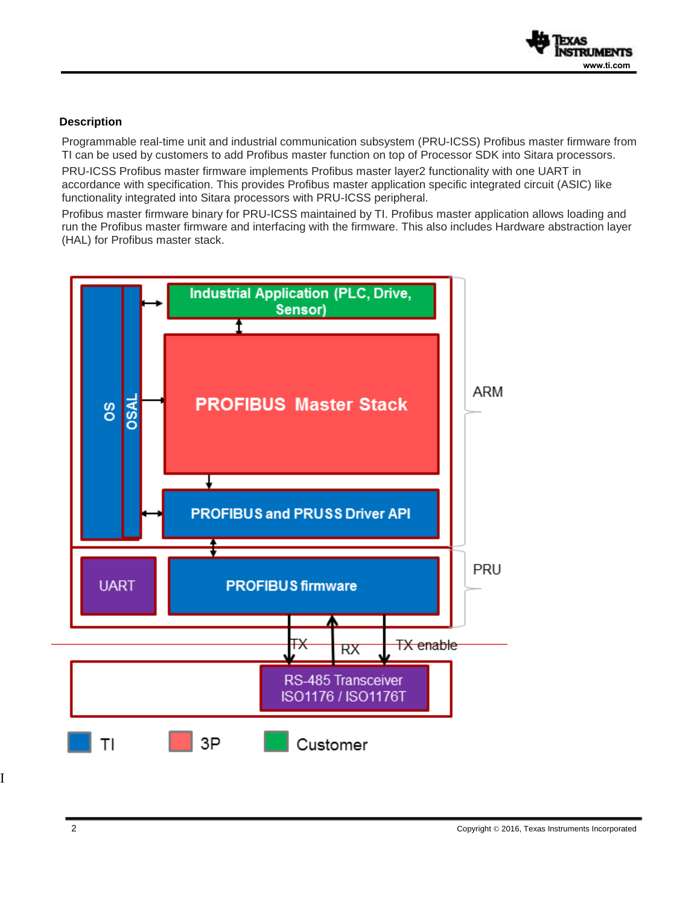

# **Description**

Programmable real-time unit and industrial communication subsystem (PRU-ICSS) Profibus master firmware from TI can be used by customers to add Profibus master function on top of Processor SDK into Sitara processors.

PRU-ICSS Profibus master firmware implements Profibus master layer2 functionality with one UART in accordance with specification. This provides Profibus master application specific integrated circuit (ASIC) like functionality integrated into Sitara processors with PRU-ICSS peripheral.

Profibus master firmware binary for PRU-ICSS maintained by TI. Profibus master application allows loading and run the Profibus master firmware and interfacing with the firmware. This also includes Hardware abstraction layer (HAL) for Profibus master stack.



I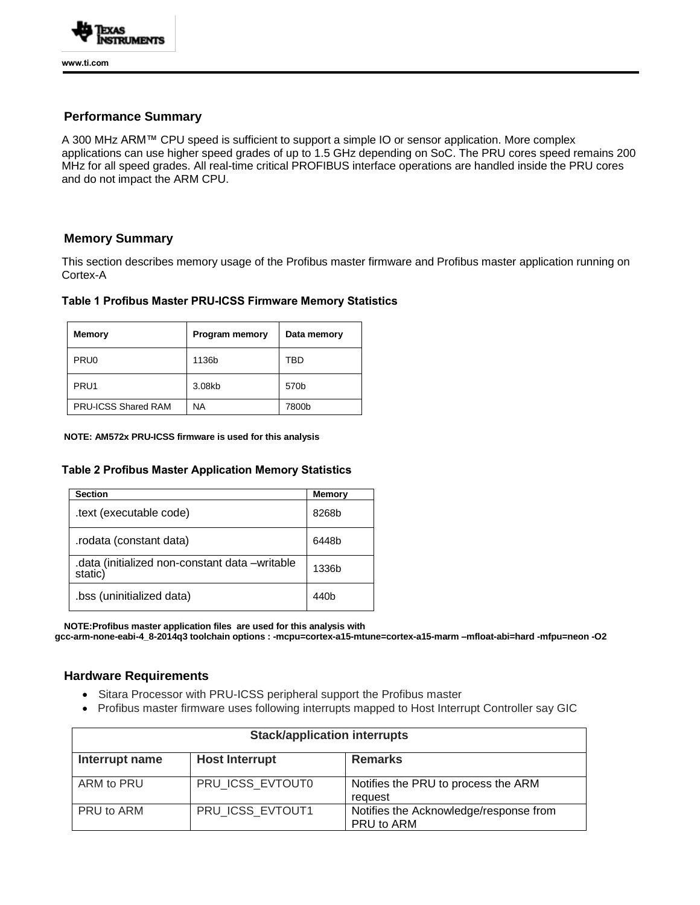

## **Performance Summary**

A 300 MHz ARM™ CPU speed is sufficient to support a simple IO or sensor application. More complex applications can use higher speed grades of up to 1.5 GHz depending on SoC. The PRU cores speed remains 200 MHz for all speed grades. All real-time critical PROFIBUS interface operations are handled inside the PRU cores and do not impact the ARM CPU.

# **Memory Summary**

This section describes memory usage of the Profibus master firmware and Profibus master application running on Cortex-A

#### **Table 1 Profibus Master PRU-ICSS Firmware Memory Statistics**

| <b>Memory</b>              | <b>Program memory</b> | Data memory      |
|----------------------------|-----------------------|------------------|
| PRU <sub>0</sub>           | 1136b                 | TBD              |
| PRU <sub>1</sub>           | 3.08kb                | 570 <sub>b</sub> |
| <b>PRU-ICSS Shared RAM</b> | NA                    | 7800b            |

#### **NOTE: AM572x PRU-ICSS firmware is used for this analysis**

#### **Table 2 Profibus Master Application Memory Statistics**

| <b>Section</b>                                            | <b>Memory</b>    |
|-----------------------------------------------------------|------------------|
| .text (executable code)                                   | 8268b            |
| rodata (constant data).                                   | 6448b            |
| .data (initialized non-constant data -writable<br>static) | 1336b            |
| .bss (uninitialized data)                                 | 440 <sub>b</sub> |

 **NOTE:Profibus master application files are used for this analysis with gcc-arm-none-eabi-4\_8-2014q3 toolchain options : -mcpu=cortex-a15-mtune=cortex-a15-marm –mfloat-abi=hard -mfpu=neon -O2**

#### **Hardware Requirements**

- Sitara Processor with PRU-ICSS peripheral support the Profibus master
- Profibus master firmware uses following interrupts mapped to Host Interrupt Controller say GIC

| <b>Stack/application interrupts</b> |                       |                                                      |  |
|-------------------------------------|-----------------------|------------------------------------------------------|--|
| Interrupt name                      | <b>Host Interrupt</b> | <b>Remarks</b>                                       |  |
| ARM to PRU                          | PRU ICSS EVTOUT0      | Notifies the PRU to process the ARM<br>request       |  |
| PRU to ARM                          | PRU ICSS EVTOUT1      | Notifies the Acknowledge/response from<br>PRU to ARM |  |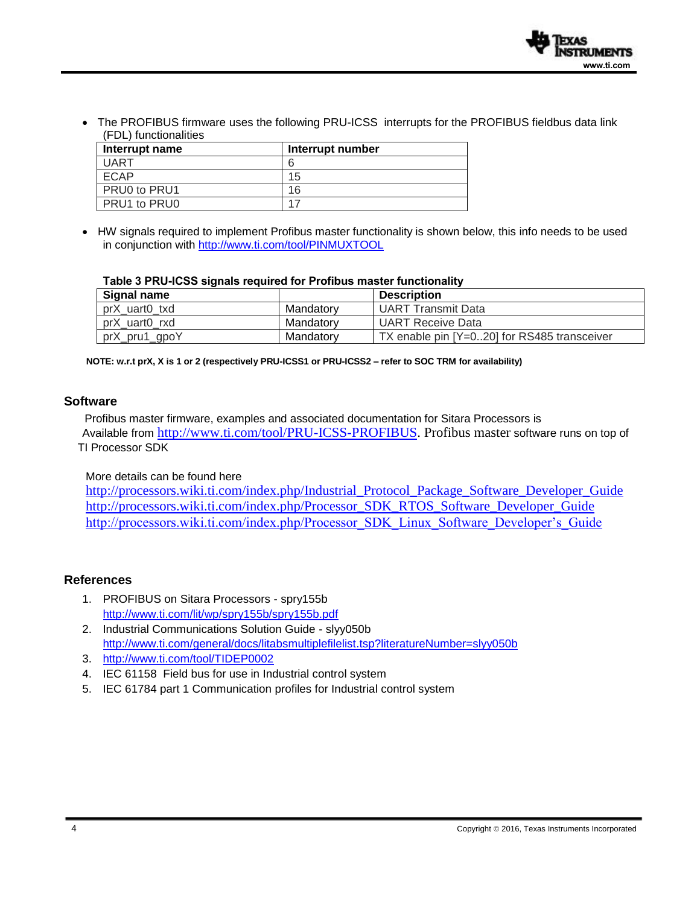• The PROFIBUS firmware uses the following PRU-ICSS interrupts for the PROFIBUS fieldbus data link (FDL) functionalities

| Interrupt name | Interrupt number |
|----------------|------------------|
| <b>UART</b>    |                  |
| <b>ECAP</b>    | 15               |
| PRU0 to PRU1   | 16               |
| PRU1 to PRU0   | 17               |

• HW signals required to implement Profibus master functionality is shown below, this info needs to be used in conjunction with<http://www.ti.com/tool/PINMUXTOOL>

#### **Table 3 PRU-ICSS signals required for Profibus master functionality**

| Signal name   |           | <b>Description</b>                            |
|---------------|-----------|-----------------------------------------------|
| prX_uart0_txd | Mandatory | <b>UART Transmit Data</b>                     |
| prX_uart0_rxd | Mandatorv | <b>UART Receive Data</b>                      |
| prX_pru1_gpoY | Mandatory | TX enable pin $[Y=020]$ for RS485 transceiver |

**NOTE: w.r.t prX, X is 1 or 2 (respectively PRU-ICSS1 or PRU-ICSS2 – refer to SOC TRM for availability)**

#### **Software**

 Profibus master firmware, examples and associated documentation for Sitara Processors is Available from [http://www.ti.com/tool/PRU-ICSS-PROFIBUS.](http://www.ti.com/tool/PRU-ICSS-PROFIBUS) Profibus master software runs on top of TI Processor SDK

## More details can be found here

[http://processors.wiki.ti.com/index.php/Industrial\\_Protocol\\_Package\\_Software\\_Developer\\_Guide](http://processors.wiki.ti.com/index.php/Industrial_Protocol_Package_Software_Developer_Guide) [http://processors.wiki.ti.com/index.php/Processor\\_SDK\\_RTOS\\_Software\\_Developer\\_Guide](http://processors.wiki.ti.com/index.php/Processor_SDK_RTOS_Software_Developer_Guide) [http://processors.wiki.ti.com/index.php/Processor\\_SDK\\_Linux\\_Software\\_Developer's\\_Guide](http://processors.wiki.ti.com/index.php/Processor_SDK_Linux_Software_Developer%E2%80%99s_Guide)

### **References**

- 1. PROFIBUS on Sitara Processors spry155b <http://www.ti.com/lit/wp/spry155b/spry155b.pdf>
- 2. Industrial Communications Solution Guide slyy050b <http://www.ti.com/general/docs/litabsmultiplefilelist.tsp?literatureNumber=slyy050b>
- 3. <http://www.ti.com/tool/TIDEP0002>
- 4. IEC 61158 Field bus for use in Industrial control system
- 5. IEC 61784 part 1 Communication profiles for Industrial control system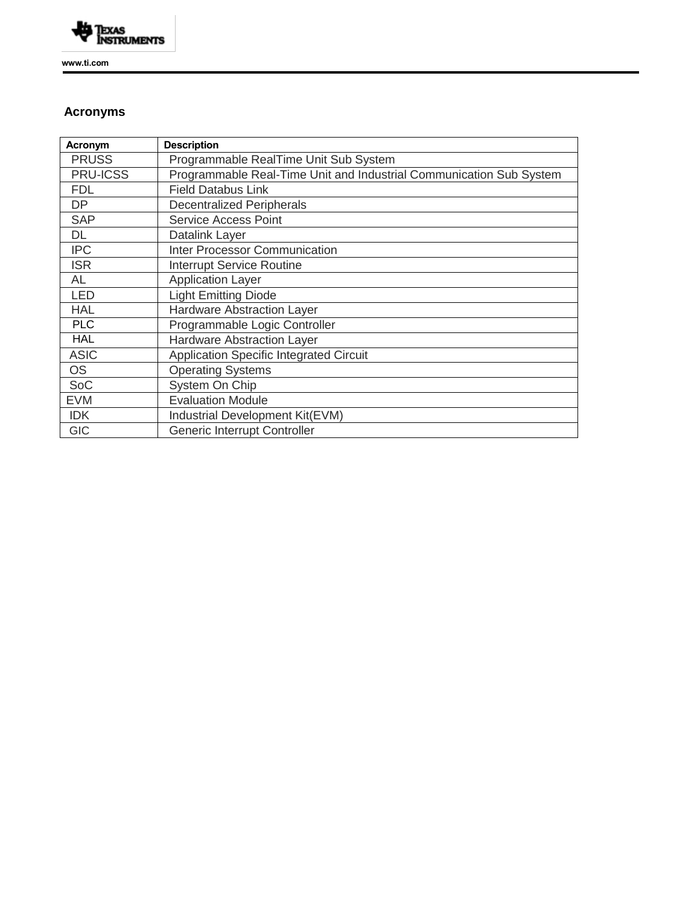

**www.ti.com** 

# **Acronyms**

| Acronym         | <b>Description</b>                                                  |
|-----------------|---------------------------------------------------------------------|
| <b>PRUSS</b>    | Programmable RealTime Unit Sub System                               |
| <b>PRU-ICSS</b> | Programmable Real-Time Unit and Industrial Communication Sub System |
| <b>FDL</b>      | <b>Field Databus Link</b>                                           |
| DP              | <b>Decentralized Peripherals</b>                                    |
| <b>SAP</b>      | <b>Service Access Point</b>                                         |
| DL              | Datalink Layer                                                      |
| <b>IPC</b>      | <b>Inter Processor Communication</b>                                |
| <b>ISR</b>      | <b>Interrupt Service Routine</b>                                    |
| <b>AL</b>       | <b>Application Layer</b>                                            |
| <b>LED</b>      | Light Emitting Diode                                                |
| <b>HAL</b>      | <b>Hardware Abstraction Layer</b>                                   |
| <b>PLC</b>      | Programmable Logic Controller                                       |
| <b>HAL</b>      | <b>Hardware Abstraction Layer</b>                                   |
| <b>ASIC</b>     | Application Specific Integrated Circuit                             |
| <b>OS</b>       | <b>Operating Systems</b>                                            |
| SoC             | System On Chip                                                      |
| <b>EVM</b>      | <b>Evaluation Module</b>                                            |
| <b>IDK</b>      | Industrial Development Kit(EVM)                                     |
| <b>GIC</b>      | Generic Interrupt Controller                                        |